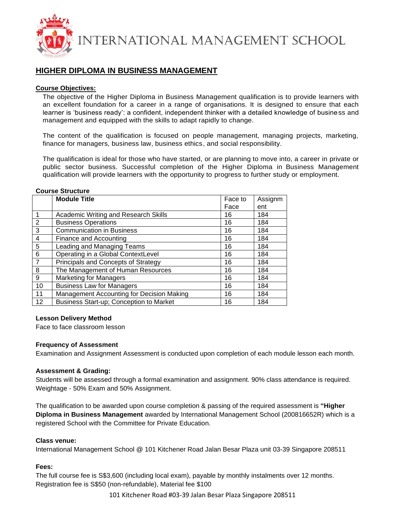

# **HIGHER DIPLOMA IN BUSINESS MANAGEMENT**

### **Course Objectives:**

The objective of the Higher Diploma in Business Management qualification is to provide learners with an excellent foundation for a career in a range of organisations. It is designed to ensure that each learner is 'business ready': a confident, independent thinker with a detailed knowledge of business and management and equipped with the skills to adapt rapidly to change.

The content of the qualification is focused on people management, managing projects, marketing, finance for managers, business law, business ethics, and social responsibility.

The qualification is ideal for those who have started, or are planning to move into, a career in private or public sector business. Successful completion of the Higher Diploma in Business Management qualification will provide learners with the opportunity to progress to further study or employment.

|                | <b>Module Title</b>                         | Face to | Assignm |
|----------------|---------------------------------------------|---------|---------|
|                |                                             | Face    | ent     |
|                | <b>Academic Writing and Research Skills</b> | 16      | 184     |
| $\overline{2}$ | <b>Business Operations</b>                  | 16      | 184     |
| 3              | <b>Communication in Business</b>            | 16      | 184     |
| 4              | Finance and Accounting                      | 16      | 184     |
| 5              | Leading and Managing Teams                  | 16      | 184     |
| 6              | Operating in a Global ContextLevel          | 16      | 184     |
| $\overline{7}$ | Principals and Concepts of Strategy         | 16      | 184     |
| 8              | The Management of Human Resources           | 16      | 184     |
| 9              | <b>Marketing for Managers</b>               | 16      | 184     |
| 10             | <b>Business Law for Managers</b>            | 16      | 184     |
| 11             | Management Accounting for Decision Making   | 16      | 184     |
| 12             | Business Start-up; Conception to Market     | 16      | 184     |

## **Course Structure**

#### **Lesson Delivery Method**

Face to face classroom lesson

#### **Frequency of Assessment**

Examination and Assignment Assessment is conducted upon completion of each module lesson each month.

#### **Assessment & Grading:**

Students will be assessed through a formal examination and assignment. 90% class attendance is required. Weightage - 50% Exam and 50% Assignment.

The qualification to be awarded upon course completion & passing of the required assessment is **"Higher Diploma in Business Management** awarded by International Management School (200816652R) which is a registered School with the Committee for Private Education.

#### **Class venue:**

International Management School @ 101 Kitchener Road Jalan Besar Plaza unit 03-39 Singapore 208511

#### **Fees:**

The full course fee is S\$3,600 (including local exam), payable by monthly instalments over 12 months. Registration fee is S\$50 (non-refundable), Material fee \$100

101 Kitchener Road #03-39 Jalan Besar Plaza Singapore 208511